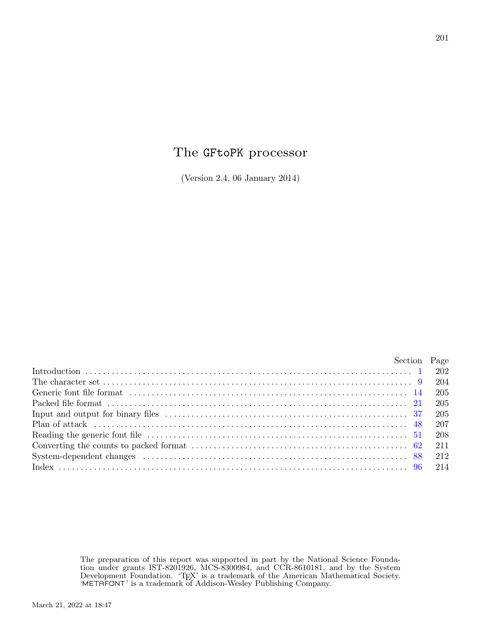# The GFtoPK processor

(Version 2.4, 06 January 2014)

|  | Section Page |
|--|--------------|
|  |              |
|  |              |
|  |              |
|  |              |
|  |              |
|  |              |
|  |              |
|  |              |
|  |              |
|  |              |
|  |              |

The preparation of this report was supported in part by the National Science Foundation under grants IST-8201926, MCS-8300984, and CCR-8610181, and by the System Development Foundation. 'TEX' is a trademark of the American Mathematical Society. 'METAFONT' is a trademark of Addison-Wesley Publishing Company.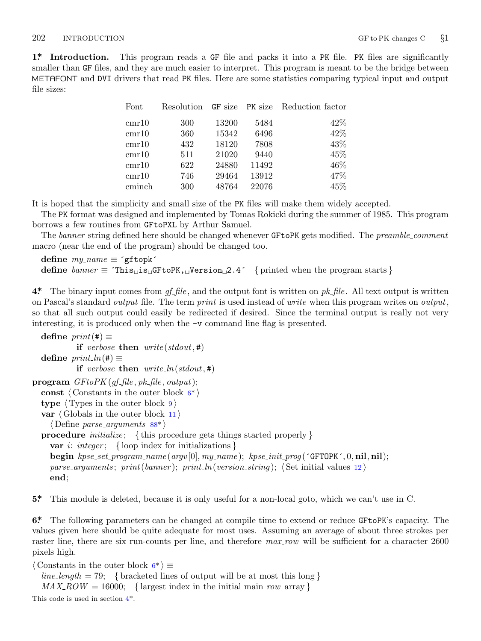<span id="page-1-0"></span>**1\* Introduction.** This program reads a GF file and packs it into a PK file. PK files are significantly smaller than GF files, and they are much easier to interpret. This program is meant to be the bridge between METAFONT and DVI drivers that read PK files. Here are some statistics comparing typical input and output file sizes:

| $_{\rm Font}$    |     |       |       | Resolution GF size PK size Reduction factor |
|------------------|-----|-------|-------|---------------------------------------------|
| $\mathrm{cmr10}$ | 300 | 13200 | 5484  | 42%                                         |
| $\mathrm{cmr10}$ | 360 | 15342 | 6496  | 42\%                                        |
| $\mathrm{cmr10}$ | 432 | 18120 | 7808  | 43%                                         |
| $\mathrm{cmr10}$ | 511 | 21020 | 9440  | 45\%                                        |
| $\mathrm{cmr10}$ | 622 | 24880 | 11492 | 46\%                                        |
| $\mathrm{cmr10}$ | 746 | 29464 | 13912 | 47\%                                        |
| cminch           | 300 | 48764 | 22076 | 45\%                                        |

It is hoped that the simplicity and small size of the PK files will make them widely accepted.

The PK format was designed and implemented by Tomas Rokicki during the summer of 1985. This program borrows a few routines from GFtoPXL by Arthur Samuel.

The *banner* string defined here should be changed whenever GFtoPK gets modified. The *preamble comment* macro (near the end of the program) should be changed too.

```
define \, my_name \equiv 'gftopk'define banner ≡ ´This␣is␣GFtoPK,␣Version␣2.4´ { printed when the program starts }
```
**4\*.** The binary input comes from *gf file* , and the output font is written on *pk file* . All text output is written on Pascal's standard *output* file. The term *print* is used instead of *write* when this program writes on *output*, so that all such output could easily be redirected if desired. Since the terminal output is really not very interesting, it is produced only when the −v command line flag is presented.

```
\text{define } print(\texttt{\#}) \equivif verbose then write (stdout, #)
  \text{define } print\_ln(\texttt{\#}) \equivif verbose then rite\_ln({stdout, #})program GFtoPK (gf file , pk file , output);
  const ⟨ Constants in the outer block 6* ⟩
  type ⟨ Types in the outer block 9 ⟩
  var ⟨ Globals in the outer block 11 ⟩
     ⟨ Define parse arguments 88* ⟩
  procedure initialize ; { this procedure gets things started properly }
    var i: integer ; { loop index for initializations }
    begin kpse set program name (argv [0], my name ); kpse init prog (´GFTOPK´, 0, nil, nil);
    parse arguments ; print(banner ); print ln(version string ); ⟨ Set initial values 12 ⟩
```

```
end;
```
**5\*.** This module is deleted, because it is only useful for a non-local goto, which we can't use in C.

**6\*.** The following parameters can be changed at compile time to extend or reduce GFtoPK's capacity. The values given here should be quite adequate for most uses. Assuming an average of about three strokes per raster line, there are six run-counts per line, and therefore  $max_{x}$  will be sufficient for a character 2600 pixels high.

*⟨* Constants in the outer block 6\* *⟩ ≡*  $line_length = 79;$  {bracketed lines of output will be at most this long }  $MAX \cdot ROW = 16000;$  {largest index in the initial main *row* array } This code is used in section  $4^*$ .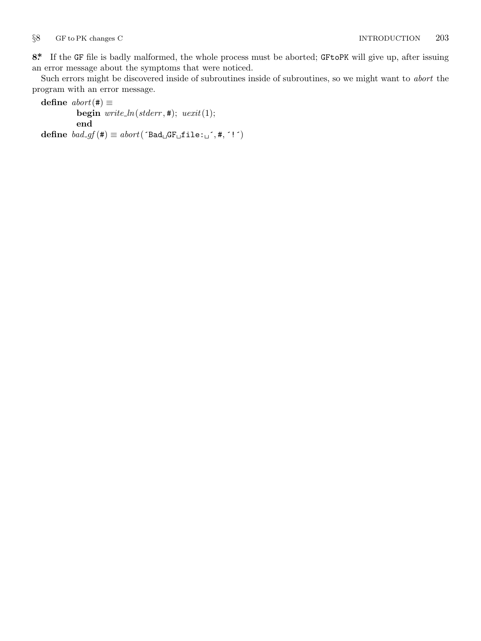<span id="page-2-0"></span>**8\*.** If the GF file is badly malformed, the whole process must be aborted; GFtoPK will give up, after issuing an error message about the symptoms that were noticed.

Such errors might be discovered inside of subroutines inside of subroutines, so we might want to *abort* the program with an error message.

```
\text{define } abort(\texttt{\#}) \equivbegin write\_ln(staterr, 4); uexit(1);
                 end
\text{define } bad\_gf(\texttt{\#}) \equiv abort(\text{'Bad}_{\sqcup}GF_{\sqcup}file: \sqcup \text{'}, \texttt{\#}, \text{'!'})
```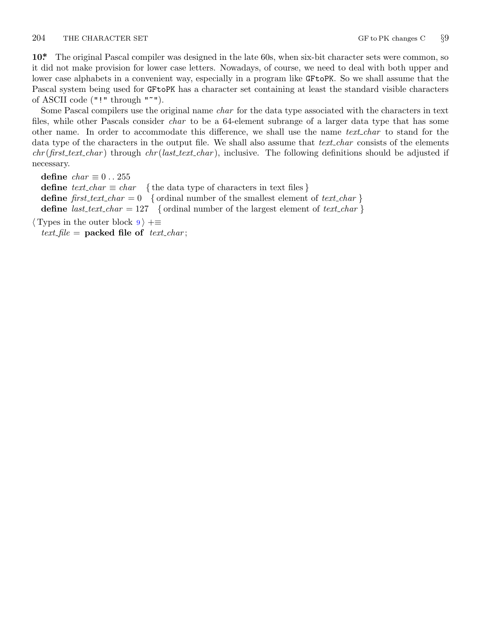<span id="page-3-0"></span>204 THE CHARACTER SET GF to PK changes C  $\frac{89}{9}$ 

**10\*.** The original Pascal compiler was designed in the late 60s, when six-bit character sets were common, so it did not make provision for lower case letters. Nowadays, of course, we need to deal with both upper and lower case alphabets in a convenient way, especially in a program like GFtoPK. So we shall assume that the Pascal system being used for GFtoPK has a character set containing at least the standard visible characters of ASCII code ("!" through "~").

Some Pascal compilers use the original name *char* for the data type associated with the characters in text files, while other Pascals consider *char* to be a 64-element subrange of a larger data type that has some other name. In order to accommodate this difference, we shall use the name *text char* to stand for the data type of the characters in the output file. We shall also assume that *text char* consists of the elements *chr* (*first text char* ) through *chr* (*last text char* ), inclusive. The following definitions should be adjusted if necessary.

**define**  $char \equiv 0 \ldots 255$ **define**  $text\_text\_char \leq char$  { the data type of characters in text files } **define**  $first\_text\_char = 0$  { ordinal number of the smallest element of  $text\_char}$ } **define**  $last\_text\_char = 127$  {ordinal number of the largest element of  $text\_char}$ }

*⟨* Types in the outer block 9 *⟩* +*≡*  $text$ *file* = **packed file of**  $text$ *text\_char*;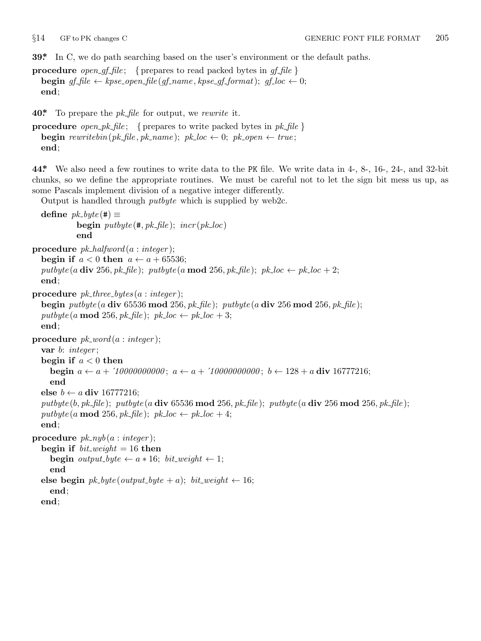<span id="page-4-0"></span>**39\*.** In C, we do path searching based on the user's environment or the default paths.

**procedure** *open\_gf\_file*; { prepares to read packed bytes in  $gf$ \_file } **begin**  $gf$ <sup>*file*  $\leftarrow$  *kpse\_open\_file*( $gf$ *\_name*,  $k$ *pse\_gf\_format*);  $gf$ *\_loc*  $\leftarrow$  0;</sup> **end**;

**40\*.** To prepare the *pk file* for output, we *rewrite* it.

```
procedure open_pk_file; { prepares to write packed bytes in pk\_file }
   begin \text{rewritebin}(pk\text{-file}, pk\text{-name}); pk\text{-}loc \leftarrow 0; pk\text{-}open \leftarrow true;end;
```
**44\*.** We also need a few routines to write data to the PK file. We write data in 4-, 8-, 16-, 24-, and 32-bit chunks, so we define the appropriate routines. We must be careful not to let the sign bit mess us up, as some Pascals implement division of a negative integer differently.

Output is handled through *putbyte* which is supplied by web2c.

```
\text{define } pk\_byte(\#) \equivbegin \text{putbyte}(\text{#}, \text{pk}\text{-file}); \text{ <i>incr}( \text{pk}\text{-} \text{loc})end
procedure pk halfword (a : integer );
   begin if a < 0 then a \leftarrow a + 65536;
   pubble(a \textbf{div } 256, pk\textit{-file}); pubble(a \textbf{mod } 256, pk\textit{-file}); pk\_loc \leftarrow pk\_loc + 2;
   end;
procedure pk three bytes (a : integer );
   begin putbyte (a div 65536 mod 256, pk file ); putbyte (a div 256 mod 256, pk file );
   \frac{p}{dt} putbyte (a mod 256, pk_file); pk\_loc \leftarrow pk\_loc + 3;
   end;
procedure pk word (a : integer );
   var b: integer ;
   begin if a < 0 then
      begin a \leftarrow a + 10000000000; a \leftarrow a + 100000000000; b \leftarrow 128 + a div 16777216;
      end
   else b ← a div 16777216;
   {\it putbyte(b, pk\_\nfile)}; {\it putbyte(a div 65536 mod 256, pk\_\nfile)}; {\it putbyte(a div 256 mod 256, pk\_\nfile)};
   \frac{p}{dt} \frac{p}{dt} \frac{p}{dt} \frac{p}{dt} \frac{p}{dt} \frac{p}{dt} \frac{p}{dt} \frac{p}{dt} \frac{p}{dt} \frac{p}{dt} \frac{p}{dt} \frac{p}{dt} \frac{p}{dt}end;
procedure pk_nyb(a:integer);begin if bit\_weight = 16 then
      begin output\_byte \leftarrow a * 16; bit\_weight \leftarrow 1;
      end
   else begin pk\_byte(output\_byte + a); bit\_weight \leftarrow 16;end;
   end;
```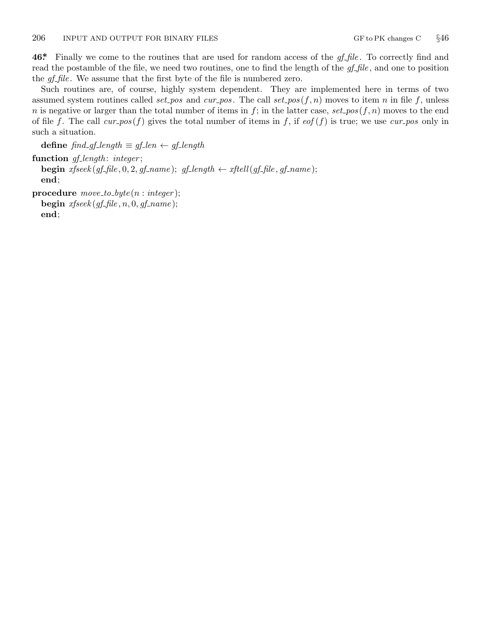<span id="page-5-0"></span>**46\*.** Finally we come to the routines that are used for random access of the *gf file* . To correctly find and read the postamble of the file, we need two routines, one to find the length of the *gf file* , and one to position the *gf-file*. We assume that the first byte of the file is numbered zero.

Such routines are, of course, highly system dependent. They are implemented here in terms of two assumed system routines called *set\_pos* and  $cur_pos$ . The call  $set_pos(f, n)$  moves to item *n* in file *f*, unless *n* is negative or larger than the total number of items in  $f$ ; in the latter case,  $set\_pos(f, n)$  moves to the end of file f. The call  $cur_{pos}(f)$  gives the total number of items in f, if  $eof(f)$  is true; we use  $cur_{pos}$  only in such a situation.

**define** *find gf length ≡ gf len ← gf length* **function** *gf length* : *integer* ; **begin**  $x$ fseek( $gf$   $fh$  $leq$ , 0, 2,  $gf$   $_name$ );  $gf$   $length$   $\leftarrow$   $x$  $ft$  $ell$ ( $gf$   $fh$  $leq$ ,  $gf$   $name$ ); **end**; **procedure** *move to byte* (*n* : *integer* );

 $\textbf{begin} x}{\textit{if} } x{\textit{f}}\text{seek}(gf\textit{f}\text{f}\textit{f}\text{d}\textit{e},n,0,gf\textit{f}\text{f},name);$ 

**end**;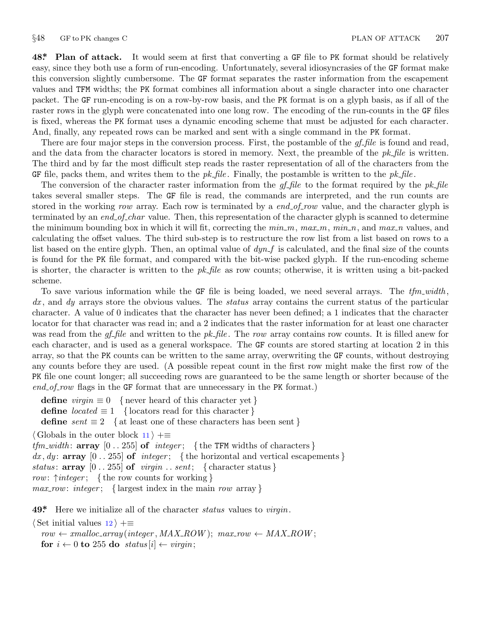<span id="page-6-0"></span>**48\*. Plan of attack.** It would seem at first that converting a GF file to PK format should be relatively easy, since they both use a form of run-encoding. Unfortunately, several idiosyncrasies of the GF format make this conversion slightly cumbersome. The GF format separates the raster information from the escapement values and TFM widths; the PK format combines all information about a single character into one character packet. The GF run-encoding is on a row-by-row basis, and the PK format is on a glyph basis, as if all of the raster rows in the glyph were concatenated into one long row. The encoding of the run-counts in the GF files is fixed, whereas the PK format uses a dynamic encoding scheme that must be adjusted for each character. And, finally, any repeated rows can be marked and sent with a single command in the PK format.

There are four major steps in the conversion process. First, the postamble of the *gf file* is found and read, and the data from the character locators is stored in memory. Next, the preamble of the *pk file* is written. The third and by far the most difficult step reads the raster representation of all of the characters from the GF file, packs them, and writes them to the *pk file* . Finally, the postamble is written to the *pk file* .

The conversion of the character raster information from the *gf file* to the format required by the *pk file* takes several smaller steps. The GF file is read, the commands are interpreted, and the run counts are stored in the working *row* array. Each row is terminated by a *end* of *row* value, and the character glyph is terminated by an *end of char* value. Then, this representation of the character glyph is scanned to determine the minimum bounding box in which it will fit, correcting the *min m*, *max m*, *min n*, and *max n* values, and calculating the offset values. The third sub-step is to restructure the row list from a list based on rows to a list based on the entire glyph. Then, an optimal value of  $dyn_f$  is calculated, and the final size of the counts is found for the PK file format, and compared with the bit-wise packed glyph. If the run-encoding scheme is shorter, the character is written to the *pk file* as row counts; otherwise, it is written using a bit-packed scheme.

To save various information while the GF file is being loaded, we need several arrays. The *tfm\_width*, *dx* , and *dy* arrays store the obvious values. The *status* array contains the current status of the particular character. A value of 0 indicates that the character has never been defined; a 1 indicates that the character locator for that character was read in; and a 2 indicates that the raster information for at least one character was read from the *gf file* and written to the *pk file* . The *row* array contains row counts. It is filled anew for each character, and is used as a general workspace. The GF counts are stored starting at location 2 in this array, so that the PK counts can be written to the same array, overwriting the GF counts, without destroying any counts before they are used. (A possible repeat count in the first row might make the first row of the PK file one count longer; all succeeding rows are guaranteed to be the same length or shorter because of the *end\_of\_row* flags in the GF format that are unnecessary in the PK format.)

**define**  $virgin \equiv 0$  { never heard of this character yet }

**define**  $located \equiv 1$  { locators read for this character }

**define**  $sent \equiv 2$  { at least one of these characters has been sent }

*⟨* Globals in the outer block 11 *⟩* +*≡*

*tfm width* : **array** [0 *. .* 255] **of** *integer* ; *{* the TFM widths of characters *}*  $dx, dy$ : **array**  $[0..255]$  of *integer*; {the horizontal and vertical escapements} *status*:  $\arctan 0$  . 255 of *virgin* . *sent*; { character status } *row*: *↑integer* ; *{* the row counts for working *} max row*: *integer* ; *{* largest index in the main *row* array *}*

**49\*.** Here we initialize all of the character *status* values to *virgin*.

*⟨* Set initial values 12 *⟩* +*≡*

 $row \leftarrow \text{smalloc\_array}(integer, MAX \text{I} \text{R} \text{O} \text{W}); max_{1} row \leftarrow \text{MAX} \text{I} \text{R} \text{O} \text{W};$ **for**  $i \leftarrow 0$  **to** 255 **do** *status*  $[i] \leftarrow \text{vir}$ *in*;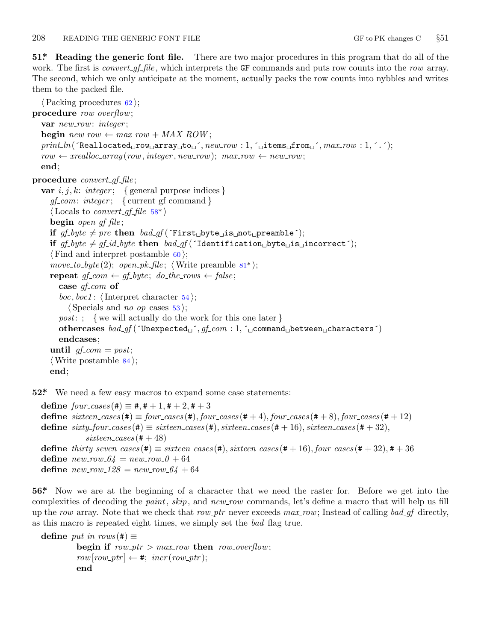<span id="page-7-0"></span>**51\*. Reading the generic font file.** There are two major procedures in this program that do all of the work. The first is *convert gf file*, which interprets the GF commands and puts row counts into the *row* array. The second, which we only anticipate at the moment, actually packs the row counts into nybbles and writes them to the packed file.

*⟨*Packing procedures 62 *⟩*; **procedure** *row overflow*; **var** *new row*: *integer* ;  $\mathbf{begin}\n\mathbf{v} = \mathbf{r} \cdot \mathbf{v} + \mathbf{v} \cdot \mathbf{v} + \mathbf{v} \cdot \mathbf{v} + \mathbf{v} \cdot \mathbf{v} + \mathbf{v} \cdot \mathbf{v} + \mathbf{v} \cdot \mathbf{v} + \mathbf{v} \cdot \mathbf{v} + \mathbf{v} \cdot \mathbf{v} + \mathbf{v} \cdot \mathbf{v} + \mathbf{v} \cdot \mathbf{v} + \mathbf{v} \cdot \mathbf{v} + \mathbf{v} \cdot \mathbf{v} + \mathbf{v} \cdot \mathbf{v} + \mathbf{v} \cdot \mathbf$ *print ln*(´Reallocated␣row␣[a](#page-9-0)rray␣to␣´*, new row* : 1*,* ´␣items␣from␣´*, max row* : 1*,* ´.´); *row ← xrealloc array* (*row, integer , new row*); *max row ← new row*; **end**; **procedure** *convert gf file* ; **var**  $i, j, k$ : *integer*; { general purpose indices } *gf com*: *integer* ; *{* current gf command *}*  $\langle$  Locals to *convert\_gf\_file* 58\* $\rangle$ **begin** *open gf file* ; **if**  $gf\_byte \neq pre$  **then**  $bad_gf('First_bbyte\_is\_not\_preample');$ **if**  $gf_b yte \neq gf_id_b yte$  **then**  $bad_g f('Identification_b yte_b is_gincorrect');$ *⟨* Find and interpret postamble 60 *⟩*;  $move\_to\_byte(2); open\_pk\_file;$   $\langle$  Write preamble 81<sup>\*</sup> $\rangle$ ;  $\mathbf{repeat} \text{ } gf\_com \leftarrow gf\_byte; \text{ } do\_the\_rows \leftarrow false;$ **case** *gf com* **of** *boc*, *boc1* :  $\langle$ Interpret character 54 $\rangle$ ;  $\langle$  Specials and *no\_op* cases 53 $\rangle$ ; *post*: ; *{* we will actually do the work for this one later *}* **othercases** *bad gf* (´Unexpected␣´*, gf com* : 1*,* ´␣command␣between␣characters´) **endcases**; **until**  $qf_{\text{r}} = post$ ; *⟨*Write postamble 84 *⟩*; **end**;

**52\*.** We need a few easy macros to expand some case statements:

 $\text{define } four\_cases$  (#)  $\equiv$  #, # + 1, # + 2, # + 3  $\text{define } sixteen\_cases(\text{\#}) \equiv four\_cases(\text{\#}), four\_cases(\text{\#}+4), four\_cases(\text{\#}+8), four\_cases(\text{\#}+12)$  $\text{define } sixty\_four\_cases$  (#)  $\equiv sixteen\_cases$  (#),  $sixteen\_cases$  (#+16),  $sixteen\_cases$  (#+32),  $s$ *ixteen\_cases* ( $# + 48$ ) **define**  $thirty \text{.} seven \text{.} cases (\#) \equiv sixteen \text{.} cases (\#), sixteen \text{.} cases (\# + 16), four \text{.} cases (\# + 32), \# + 36$ **define**  $new_{av} = 64$  =  $new_{av} = 64$ **define**  $new_{128} = new_{100} - 64 + 64$ 

**56\*.** Now we are at the beginning of a character that we need the raster for. Before we get into the complexities of decoding the *paint*, *skip*, and *new row* commands, let's define a macro that will help us fill up the *row* array. Note that we check that *row ptr* never exceeds *max row*; Instead of calling *bad gf* directly, as this macro is repeated eight times, we simply set the *bad* flag true.

```
\text{define } put\_in\_rows(\texttt{\#}) \equivbegin if row\_ptr > max\_row then row\_overflow;
           row[row\_ptr] \leftarrow #; incr(row\_ptr);end
```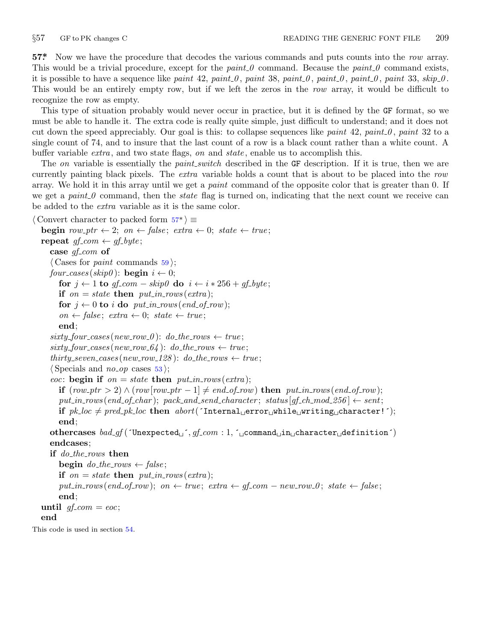<span id="page-8-0"></span>

**57\*.** Now we have the procedure that decodes the various commands and puts counts into the *row* array. This would be a trivial procedure, except for the *paint* 0 command. Because the *paint* 0 command exists, it is possible to have a sequence like *paint*  $42$ ,  $paint_0$ ,  $paint_0$ ,  $paint_0$ ,  $paint_0$ ,  $paint_0$ ,  $paint_0$ ,  $paint_0$ ,  $33$ ,  $skip_0$ . This would be an entirely empty row, but if we left the zeros in the *row* array, it would be difficult to recognize the row as empty.

This type of situation probably would never occur in practice, but it is defined by the GF format, so we must be able to handle it. The extra code is really quite simple, just difficult to understand; and it does not cut down the speed appreciably. Our goal is this: to collapse sequences like *paint* 42, *paint 0* , *paint* 32 to a single count of 74, and to insure that the last count of a row is a black count rather than a white count. A buffer variable *extra* , and two state flags, *on* and *state* , enable us to accomplish this.

The *on* variable is essentially the *paint switch* described in the GF description. If it is true, then we are currently painting black pixels. The *extra* variable holds a count that is about to be placed into the *row* array. We hold it in this array until we get a *paint* command of the opposite color that is greater than 0. If we get a *paint* 0 command, then the *state* flag is turned on, indicating that the next count we receive can be added to the *extra* variable as it is the same color.

```
⟨ Convert character to packed form 57* ⟩ ≡
  begin row\_ptr \leftarrow 2; on \leftarrow false; extra \leftarrow 0; state \leftarrow true;
  repeat qf_{\text{c}}com \leftarrow qf_{\text{c}}byte;
     case gf com of
      ⟨ Cases for paint commands 59 ⟩;
     four_cases (skip \theta): begin i \leftarrow 0;
        for j \leftarrow 1 to gf\text{-}com - skip\theta do i \leftarrow i * 256 + gf\text{-}byte;if \text{on} = \text{state} then \text{put} \text{in} \text{rows} (\text{extra});
        for j \leftarrow 0 to i do put\_in\_rows (end_of_row);
        \text{on} \leftarrow \text{false}; \text{ extra} \leftarrow 0; \text{ state} \leftarrow \text{true};end;
      sixty_four\_cases(new_rrow_0): do_fhe_rrows \leftarrow true;sixty\_four\_cases(new\_row\_64): do\_the\_rows \leftarrow true;thirty\_seven\_cases(new\_row\_128): do\_the\_rows \leftarrow true;
      ⟨ Specials and no op cases 53 ⟩;
      eoc: begin if on = state then put_in\_rows(extra);
        if (\textit{row\_ptr} > 2) ∧ (\textit{row\_ptr} - 1) ≠ \textit{end\_of\_row} then \textit{put\_in\_rows}(\textit{end\_of\_row});put\_in\_rows (end_of_char); pack\_and\_send\_character; status[gf\_ch\_mod\_256] \leftarrow sent;if pk\_loc \neq pred\_pk\_loc then abort('Internal\_error\_while\_writing\_character!');end;
     othercases bad gf (´Unexpected␣´, gf com : 1, ´␣command␣in␣character␣definition´)
     endcases;
     if do the rows then
        begin do_the_rows \leftarrow false;
        if \text{on} = state then put\_in\_rows\text{(extra)};
        put\_in\_rows (end\_of\_row); on \leftarrow true; extra \leftarrow af\_com - new\_row\_0; state \leftarrow false;
        end;
  until gf_{\text{-}}com = eoc;end
This code is used in section 54.
```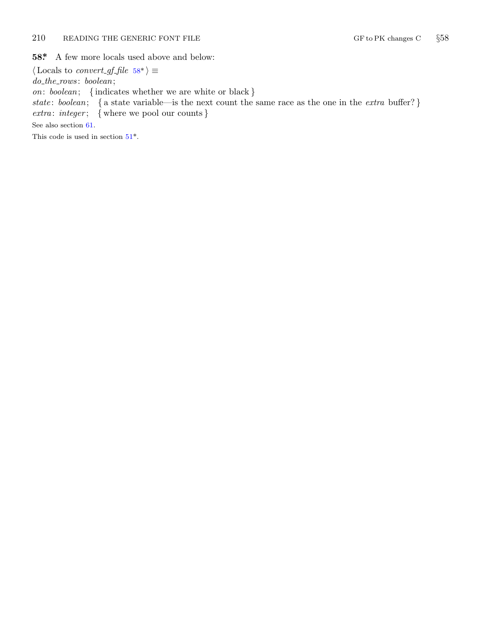### <span id="page-9-0"></span>210 READING THE GENERIC FONT FILE GENERIC FONT FILE GF to PK changes C  $\S 58$

**58\*.** A few more locals used above and below:

 $\langle$  $\langle$  Locals to *convert\_gf\_file* 58\* $\rangle \equiv$ *do the rows* : *boolean*; *on*: *boolean*; *{* indicates whether we are white or black *} state* : *boolean*; *{* a state variable—is the next count the same race as the one in the *extra* buffer? *} extra* : *integer* ; *{* where we pool our counts *}* See also section 61. This code is used in section  $51^*$ .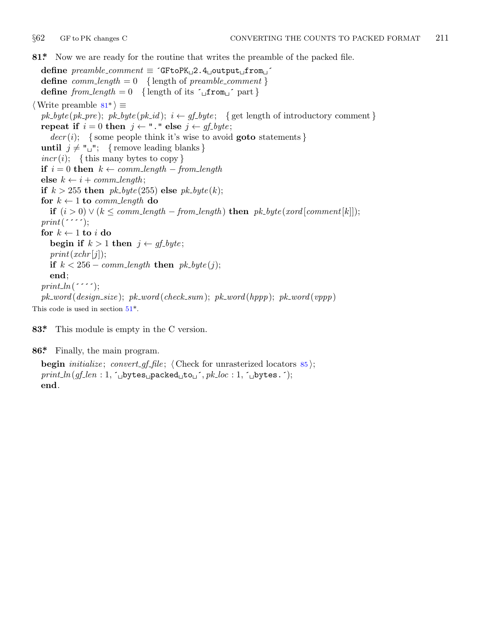<span id="page-10-0"></span>

**81\*.** Now we are ready for the routine that writes the preamble of the packed file.

**define** *preamble comment ≡* ´GFtoPK␣2.4␣output␣from␣´ **define**  $comm\_length = 0$  {length of  $preamble\_comment$ } **define**  $from\_length = 0$  {length of its  $\lceil \cdot \rfloor$ **from** $\lceil \cdot \rfloor$ } *⟨*Write preamble 81\* *⟩ ≡*  $pk\_byte(pk\_pre); pk\_byte(pk\_id); i \leftarrow gf\_byte;$  {get length of introductory comment } **repeat if**  $i = 0$  **then**  $j \leftarrow$  "." **else**  $j \leftarrow gf\_byte$ ; *decr* (*i*); *{* some people think it's wise to avoid **goto** statements *}* **until**  $j \neq$  " $\cup$ "; {remove leading blanks}  $incr(i)$ ; {this many bytes to copy } **if** *i* = 0 **then** *k ← comm length − from length* **else**  $k \leftarrow i + comm\_length;$ **if**  $k > 255$  **then**  $pk\_byte(255)$  **else**  $pk\_byte(k);$ **for**  $k \leftarrow 1$  **to** *comm length* **do if**  $(i > 0) ∨ (k ≤ comm_length − from_length)$  **then**  $pk\_byte(xord[comment[k]]);$ *print*( $\cdots$ ; for  $k \leftarrow 1$  to *i* do **begin if**  $k > 1$  **th[en](#page-7-0)**  $j \leftarrow gf\_byte$ ;  $print(xchr[j]);$ **if**  $k < 256 - \text{comm\_length}$  **then**  $pk\_byte(i)$ ; **end**;  $print\_ln($ *pk word* (*design size* ); *pk word* (*check sum*); *pk word* (*hppp*); *pk word* (*vppp*) This code is used in section  $51^*$ .

**83\*.** This module is empty in the C version.

**86\*.** Finally, the main program.

**begin** *initialize*; *convert\_gf\_file*;  $\langle$  Check for unrasterized locators 85 $\rangle$ ;  $print\_ln(gf\_len: 1, \infty)$ bytes $\Box$ packed $\Box$ to $\Box$ ´*, pk* $\Box$ *loc* : 1*,* ´ $\Box$ bytes.´); **end**.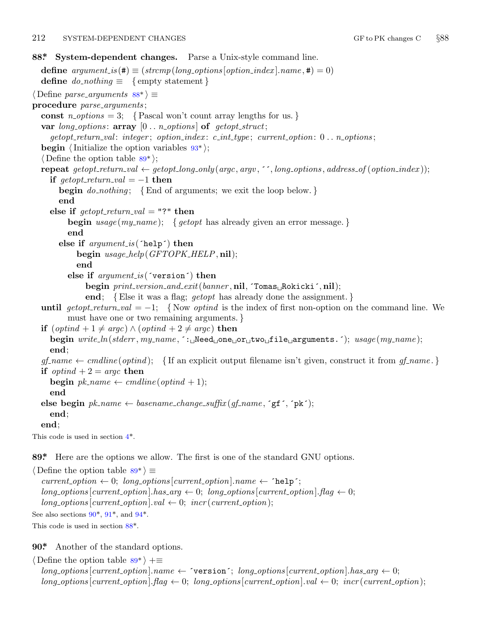#### <span id="page-11-0"></span>212 SYSTEM-DEPENDENT CHANGES GET A CHANGES GF to PK changes C  $\S 88$

```
88*. System-dependent changes. Parse a Unix-style command line.
  define argument_is(\textbf{\#}) \equiv (strompllong_options[option\_index].name, \textbf{\#}) = 0)define do\_nothing \equiv \{ment \}⟨ Define parse arguments 88* ⟩ ≡
procedure parse arguments ;
  const n\text{-}options = 3; \{Pascal won't count array lengths for us. \}var long options : array [0 . . n options ] of getopt struct;
     getopt return val : integer ; option index : c int type ; current option: 0 . . n options ;
  begin ⟨Initialize the option variables 93* ⟩;
  ⟨ Define the option table 89* ⟩;
  repeat qetopt_rreturn\_val \leftarrow qetopt\_long-only(argc, argv, \text{''}, long-options, address_of(option_index));if qetopt\_return\_val = -1 then
       begin do nothing ; {End of arguments; we exit the loop below. }
       end
    else if \text{getopt\_return\_val} = "?" then
         begin usage (my name ); { getopt has already given an error message. }
         end
       else if argument is (´help´) then
            begin usage help(GFTOPK HELP, nil);
            end
         else if argument is (´version´) then
               begin print version and exit(banner , nil, ´Tomas␣Rokicki´, nil);
               end; {Else it was a flag; getopt has already done the assignment. }
  until getopt\_return\_val = -1; {Now optind is the index of first non-option on the command line. We
         must have one or two remaining arguments. }
  if (\text{optind} + 1 \neq \text{argc}) \land (\text{optind} + 2 \neq \text{argc}) then
    begin write ln(stderr , my name , ´:␣Need␣one␣or␣two␣file␣arguments.´); usage (my name );
    end;
  gf_name \leftarrow \text{c} cmdline (optind); { If an explicit output filename isn't given, construct it from gf_name.}
  if optind + 2 = \text{argc} then
    begin pk\_name \leftarrow \text{c} emdline (optind + 1);
    end
  \mathbf{else} begin pk\_name \leftarrow basename\_change\_suffix(qf\_name, \mathbf{`gf}^*, \mathbf{`pk}^*);
    end;
  end;
This code is used in section 4*.
89*. Here are the options we allow. The first is one of the standard GNU options.
⟨ Define the option table 89* ⟩ ≡
  current\_option \leftarrow 0; long\_options[current\_option].name \leftarrow 'help';long-options[current\_option].has\_arg \leftarrow 0; long-options[current\_option].flag \leftarrow 0;long\_\textit{options} [current_option].val \leftarrow 0; incr (current_option);
```
See also sections  $90^*$ ,  $91^*$ , and  $94^*$ .

This code is used in section 88\*.

**90\*.** Another of the standard options.

*⟨* Define the option table 89\* *⟩* +*≡*  $long-options[current\_option].name \leftarrow 'version'; long\_options[current\_option].has\_arg \leftarrow 0;$  $long\_options[current\_option]$ .  $flag \leftarrow 0$ ;  $long\_options[current\_option]$ .  $val \leftarrow 0$ ;  $incr(current\_option)$ ;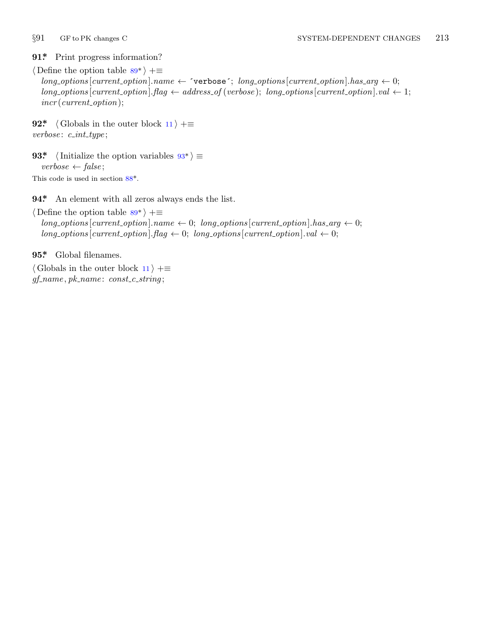<span id="page-12-0"></span>

## **91\*.** Print progress information?

*⟨* Define the option table 89\* *⟩* +*≡*  $long-options$  [*current\_option*]*.name*  $\leftarrow$   $\check{\ }$ verbose $\check{\ }$ ; *long\_options* [*current\_option*]*.has\_arg*  $\leftarrow$  0;  $long\_options$  [*current\_option*]*.flag*  $\leftarrow$  *address\_of* (*verbose*); *long\_options* [*current\_option*]*.val*  $\leftarrow$  1; *incr* (*current option*);

**92\***  $\langle$  Globals in the o[ute](#page-11-0)r block 11  $\rangle$  += *verbose* : *c int type* ;

**93\***  $\langle$  Initialize the opti[on](#page-11-0) variables  $93^*$   $\equiv$ *verbose ← false* ; This code is used in section 88\*.

**94\*.** An element with all zeros always ends the list.

*⟨* Define the option table 89\* *⟩* +*≡*  $long\_options[current\_option].name \leftarrow 0; long\_options[current\_option].has\_arg \leftarrow 0;$  $long\_options[current\_option].flag \leftarrow 0; long\_options[current\_option].val \leftarrow 0;$ 

**95\*.** Global filenames.

*⟨* Globals in the outer block 11 *⟩* +*≡ gf name , pk name* : *const c string* ;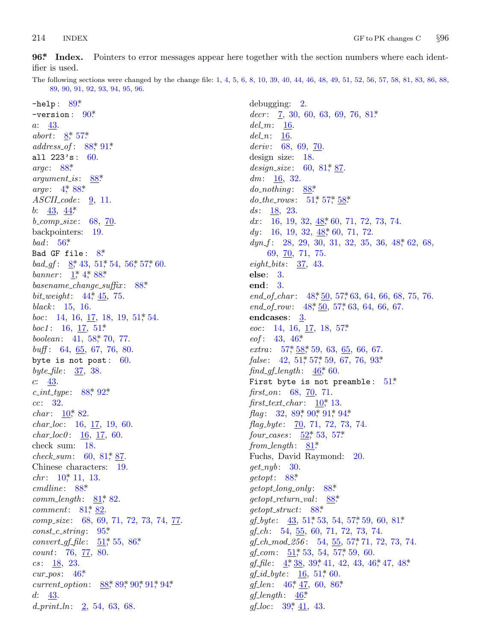#### <span id="page-13-0"></span>214 **INDEX**

96\* Index. Pointers to error messages appear here together with the section numbers where each identifier is used.

The following sections were changed by the change file: 1, 4, 5, 6, 8, 10, 39, 40, 44, 46, 48, 49, 51, 52, 56, 57, 58, 81, 83, 86, 88, 89, 90, 91, 92, 93, 94, 95, 96.

 $-$ help:  $89*$  $-version: 90*$  $a: 43.$ abort:  $8, 57$ \*  $address\_of: 88, 91$ \* all  $223's: 60.$ argc:  $88*$  $argument\_is$ :  $88*$ argv:  $4^*88^*$  $ASCII\_code: 9, 11.$ *b*:  $43, 44^*$  $b_{\text{1}} comp_{\text{2}} size: 68, 70.$ backpointers: 19. bad:  $56*$ Bad GF file:  $8^*$ bad\_gf:  $8, 43, 51, 54, 56, 57, 60$ . banner:  $1, 4, 88$ \*  $basename\_change\_suffix: 88*$ *bit\_weight*:  $44, 45, 75$ . black:  $15, 16.$ *boc*: 14, 16,  $\frac{17}{16}$ , 18, 19, 51, 54. *boc1*: 16,  $\frac{17}{51*}$ boolean: 41, 58, 70, 77. buff: 64,  $65, 67, 76, 80$ . byte is not post:  $60$ . byte\_file:  $37, 38$ .  $c: \frac{43}{2}$  $c\_int\_type: 88, 92$ \*  $cc: 32.$ *char*:  $10^*$  82.  $char\_loc: 16, 17, 19, 60.$  $char\_loc0: 16, 17, 60.$ check sum: 18.  $check\_sum: 60, 81, 87.$ Chinese characters: 19.  $chr: 10^* 11, 13.$  $cmdline: 88*$  $comm\_length: 81, 82.$ *comment*:  $81, 82$ .  $comp\_size: 68, 69, 71, 72, 73, 74, 77.$  $const_c\_string: 95*$ *convert\_gf\_file*:  $51$ <sup>\*</sup>, 55, 86<sup>\*</sup> count: 76, 77, 80.  $cs: \frac{18}{9}$ , 23.  $cur_pos: 46*$ current\_option:  $88$ <sup>\*</sup>,  $89$ <sup>\*</sup>,  $90$ <sup>\*</sup>,  $91$ <sup>\*</sup>,  $94$ <sup>\*</sup>  $d: 43.$  $d\_print\_ln:$   $\frac{2}{3}$ , 54, 63, 68.

 $debugging: 2.$  $decr:$  7, 30, 60, 63, 69, 76, 81\*  $del_m: \underline{16}$ .  $del_n$ : 16.  $deriv: 68, 69, 70.$ design size:  $18$ . design\_size:  $60, 81, 87$ dm:  $16, 32.$  $do\_nothinging: 88*$ do\_the\_rows:  $51^*$ ,  $57^*$ ,  $58^*$ ds:  $\frac{18}{9}$ , 23.  $dx$ : 16, 19, 32,  $48$ <sup>\*</sup>, 60, 71, 72, 73, 74. dy: 16, 19, 32,  $\underline{48}$ , 60, 71, 72.  $dyn-f: 28, 29, 30, 31, 32, 35, 36, 48, 62, 68,$ 69, 70, 71, 75. eight-bits:  $37, 43$ . else:  $3$ . end:  $3$ . end\_of\_char:  $48,50,57,63,64,66,68,75,76$ . end\_of\_row:  $48, 50, 57, 63, 64, 66, 67$ . endcases:  $3$ . *eoc*: 14, 16, <u>17</u>, 18, 57\*  $eof: 43, 46*$ *extra*:  $57, 58, 59, 63, 65, 66, 67.$ *false*: 42, 51, 57, 59, 67, 76, 93\*  $find\_gf_length: 46,60.$ First byte is not preamble:  $51*$ first\_on:  $68, 70, 71$ . first\_text\_char:  $10^*$  13. *flag*: 32, 89, 90, 91, 94\*  $flag\_byte:$   $\frac{70}{71}$ , 72, 73, 74. four\_cases:  $52^*$ , 53, 57\* from length:  $81^*$ Fuchs, David Raymond: 20.  $qet_nyb: 30.$  $\text{getopt}: 88^*$  $getopt\_long\_only:$  88\*  $getopt\_return\_val$ :  $88*$  $qetopt\_struct: 88*$  $gf_byte: 43, 51, 53, 54, 57, 59, 60, 81$  $gf_{-}ch$ : 54, 55, 60, 71, 72, 73, 74.  $gf\_ch\_mod\_256$ : 54, 55, 57, 71, 72, 73, 74.  $gf_{\sim}com: \quad \underline{51}^*$ , 53, 54, 57, 59, 60.  $gf_{\text{}}$  file:  $4, 38, 39, 41, 42, 43, 46, 47, 48$  $gf_id\_byte: 16, 51, 60.$  $gf_- len: 46^*, \underline{47}, 60, 86^*$  $gf_{\text{-}}length: \quad \underline{46}^*$  $gf\_loc: 39, 41, 43.$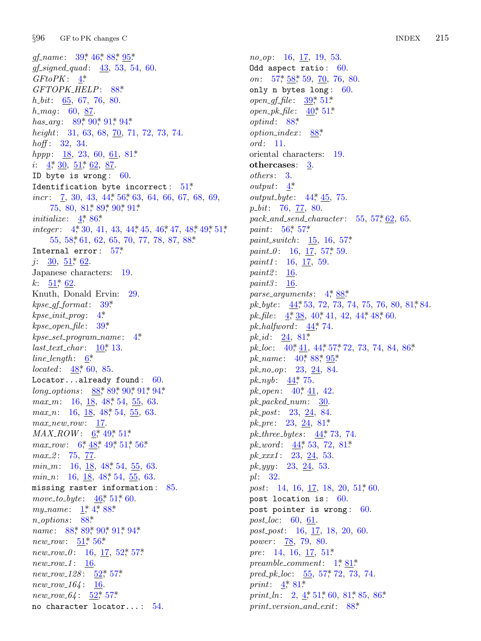$§96$ GF to PK changes C

gf\_name:  $39^*$ , 46<sup>\*</sup>, 88<sup>\*</sup>, 95<sup>\*</sup>  $gf\_signed\_quad: 43, 53, 54, 60.$  $GFtoPK: 4^*$ GFTOPK\_HELP: 88\*  $h\_bit$ : 65, 67, 76, 80.  $h_{.}mag: 60, 87.$ has\_arg: 89, 90, 91, 94\* height: 31, 63, 68,  $\overline{70}$ , 71, 72, 73, 74.  $hoff: 32, 34.$ *hppp*:  $18, 23, 60, 61, 81*$ *i*:  $4$ <sup>\*</sup>,  $30$ ,  $51$ <sup>\*</sup>,  $62$ , 87. ID byte is wrong:  $60$ . Identification byte incorrect:  $51^*$ *incr*:  $\frac{7}{5}$ , 30, 43, 44, 56, 63, 64, 66, 67, 68, 69,  $75, 80, 81, 89, 90, 91$ *initialize:*  $4,86*$ *integer*:  $4, 30, 41, 43, 44, 45, 46, 47, 48, 49, 51,$ 55, 58, 61, 62, 65, 70, 77, 78, 87, 88\* Internal error:  $57$ <sup>\*</sup>  $j: \frac{30}{51}, \frac{51}{62}.$ Japanese characters: 19.  $k: 51^*62.$ Knuth, Donald Ervin: 29.  $kpc\_gf\_format: 39*$  $kpse\_init\_prog: 4$ \*  $kpse\_open\_file: 39*$  $kpc.set\_program\_name: 4*$  $last\_text\_char: 10^*13.$  $line_length: 6*$ *located*:  $48,60,85$ . Locator...already found:  $60$ . long\_options:  $88$ <sup>\*</sup>,  $89$ <sup>\*</sup>,  $90$ <sup>\*</sup>,  $91$ <sup>\*</sup>,  $94$ <sup>\*</sup> *max\_m*: 16,  $\underline{18}$ ,  $48$ <sup>\*</sup>, 54, 55, 63. *max\_n*: 16, 18, 48, 54, 55, 63.  $max_new_{row}:$  17.  $MAX \text{ } ROW: 6^* \text{ } 49^* \text{ } 51^*$ max\_row:  $6, 48, 49, 51, 56$ \*  $max_2$ : 75, 77.  $min_m$ : 16, 18, 48, 54, 55, 63. min\_n: 16,  $\underline{18}$ ,  $\underline{48}$ ,  $\underline{54}$ ,  $\underline{55}$ , 63. missing raster information: 85. move\_to\_byte:  $46$ <sup>\*</sup>, 51<sup>\*</sup>, 60. my\_name:  $1, 4, 88$ \*  $n\_options: 88*$ *name*:  $88$ <sup>\*</sup>,  $89$ <sup>\*</sup>,  $90$ <sup>\*</sup>,  $91$ <sup>\*</sup>,  $94$ <sup>\*</sup> *new\_row:*  $51^*$ ,  $56^*$  $new_{1}row_{0}$ : 16, 17, 52, 57\*  $new_{T}ow_{1}: 16.$  $new_{128}: 52^{*}57^{*}$  $new_{T}ow_{164}: 16.$  $new_{T}ow_{-}64: 52^{*}_{7}57^{*}$ no character locator...: 54.

 $no\_op: 16, 17, 19, 53.$ Odd aspect ratio:  $60$ . on:  $57^*$ ,  $58^*$ ,  $59$ ,  $70$ ,  $76$ ,  $80$ . only n bytes long:  $60$ . *open\_gf\_file*:  $\frac{39}{51*}$ *open\_pk\_file*:  $40^*$ , 51\*  $optind: 88*$  $option\_index: 88*$  $ord: 11.$ oriental characters: 19. othercases:  $3$ .  $others: 3.$  $output: 4^*$ *output\_byte*:  $44, 45, 75$ .  $p\_bit$ : 76, 77, 80.  $pack\_and\_send\_character: 55, 57, 62, 65.$ *paint*:  $56 \div 57 \times 10^{14}$ *paint\_switch*:  $15, 16, 57^*$ *paint\_0*: 16, 17, 57, 59. *paint1*:  $16, 17, 59$ .  $paint2: 16.$  $paint3: 16.$ parse\_arguments:  $4^*88^*$  $pk\_byte:$  44, 53, 72, 73, 74, 75, 76, 80, 81, 84.  $pk\text{-}file: \underline{4}^*, \underline{38}, 40^*, 41, 42, 44^*, 48^*, 60.$  $pk\_halfword: \underline{44}$ , 74. *pk\_id:*  $24, 81^*$  $pk\_loc$ : 40, 41, 44, 57, 72, 73, 74, 84, 86\* *pk\_name*:  $40^*88^*95^*$  $pk_{n0}$ -op: 23, 24, 84. *pk\_nyb:*  $44$ <sup>\*</sup>, 75. *pk\_open*:  $40^*$ ,  $41$ , 42.  $pk\_packet1num: 30$ .  $pk\_post$ : 23, 24, 84. *pk\_pre*: 23, 24, 81\* *pk\_three\_bytes:*  $44$ <sup>\*</sup>, 73, 74.  $pk_{\text{+}}word: \underline{44}^*$  53, 72, 81\*  $pk\_xxx1$ : 23, 24, 53.  $pk\_yyy: 23, 24, 53.$  $pl: 32.$ *post*: 14, 16, 17, 18, 20, 51, 60. post location is:  $60$ . post pointer is wrong:  $60$ . *post\_loc*: 60, 61.  $post\_post: 16, 17, 18, 20, 60.$ *power*: 78, 79, 80. *pre*: 14, 16, 17, 51\* preamble\_comment:  $1^*81^*$  $pred\_pk\_loc$ :  $55, 57, 72, 73, 74$ . *print*:  $4^{*}81^{*}$ print\_ln: 2,  $4, 51, 60, 81, 85, 86$ \*  $print\_version\_and\_exit:$  88\*

**INDEX** 215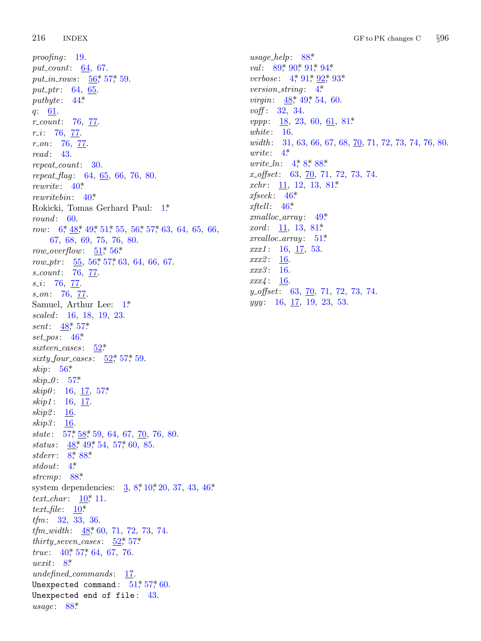216 **INDEX** 

 $proofing: 19.$ put\_count:  $64, 67$ . put\_in\_rows:  $56$ , 57, 59. put\_ptr: 64, 65. putbyte:  $44^*$  $q: \underline{61}.$  $r_{\text{-}}count: 76, 77.$  $r_{-}i$ : 76, 77.  $r_{-}on: 76, 77$  $read: 43.$  $repeat\_count: 30.$  $repeat\_flag: 64, 65, 66, 76, 80.$ rewrite:  $40^*$ rewrite bin:  $40^*$ Rokicki, Tomas Gerhard Paul: 1\*  $round: 60.$ row:  $6, 48, 49, 51, 55, 56, 57, 63, 64, 65, 66,$ 67, 68, 69, 75, 76, 80. *row\_overflow:*  $\underline{51}$ <sup>\*</sup>,  $56$ <sup>\*</sup> row<sub>-p</sub>tr:  $\frac{55}{56}$ , 56<sup>\*</sup>, 57<sup>\*</sup>, 63, 64, 66, 67. s\_count: 76, 77.  $s_i$ : 76, 77.  $s_0$ . 76, 77. Samuel, Arthur Lee:  $1^*$ scaled: 16, 18, 19, 23. *sent*:  $\frac{48}{57}$ set\_pos:  $46^*$ sixteen\_cases:  $52^*$  $sixty_{-}four_{-}cases: 52^{*}_{0} 57^{*}_{0} 59.$ skip:  $56*$  $skip_0.1cm0.57^*$  $skip0: 16, 17, 57*$  $skip 1: 16, 17.$  $skip2: 16.$ skip3: 16. state:  $57, 58, 59, 64, 67, 70, 76, 80.$ *status*:  $48, 49, 54, 57, 60, 85$ . *stderr*:  $8*88*$ stdout:  $4^*$ strcmp:  $88^*$ system dependencies:  $\frac{3}{2}$ ,  $8, \frac{40}{3}, 20, 37, 43, 46$ \* text\_char:  $\underline{10}$ <sup>\*</sup>, 11. text\_file:  $\underline{10}^*$  $tfm: 32, 33, 36.$ *tfm\_width*:  $48,60,71,72,73,74$ . *thirty\_seven\_cases:*  $52$ <sup>\*</sup>,  $57$ <sup>\*</sup> true:  $40^*$ , 57, 64, 67, 76. *uexit*:  $8^*$ *undefined\_commands*: 17. Unexpected command:  $51^*$ ,  $57^*$ , 60. Unexpected end of file:  $43.$  $usage: 88*$ 

 $usage\_help: 88*$ val:  $89,90,91,94$ *verbose*:  $4,91,92,93$ version\_string:  $4^*$ *virgin*:  $48^*$ , 49<sup>\*</sup>, 54, 60. voff: 32, 34. *vppp*:  $\frac{18}{23}$ ,  $\frac{23}{60}$ ,  $\frac{61}{21}$ ,  $\frac{81*}{2}$ white:  $16.$ width: 31, 63, 66, 67, 68, 70, 71, 72, 73, 74, 76, 80.  $write: 4*$ *write\_ln:*  $4^*8^*88^*$  $x_{\text{off}}$ set: 63,  $\overline{70}$ , 71, 72, 73, 74. xchr:  $11, 12, 13, 81*$  $x \text{fseek}: 46^*$  $xftell: 46*$  $cmalloc\_array: 49*$ *xord*:  $11, 13, 81*$  $xrealloc_array: 51*$  $xxx1: 16, 17, 53.$  $xxx2:$ **16.** xxx3: 16.  $xxx4: 16.$  $y\text{-}offset: 63, 70, 71, 72, 73, 74.$  $yyy: 16, 17, 19, 23, 53.$